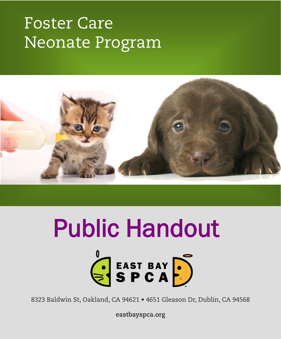# Foster Care Neonate Program



# Public Handout



8323 Baldwin St, Oakland, CA 94621 • 4651 Gleason Dr, Dublin, CA 94568

**eastbayspca.org**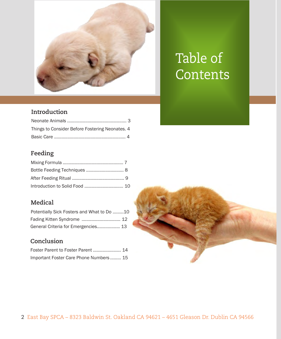

## Table of **Contents**

#### **Introduction**

| Things to Consider Before Fostering Neonates. 4 |  |
|-------------------------------------------------|--|
|                                                 |  |

#### **Feeding**

#### **Medical**

| Potentially Sick Fosters and What to Do 10 |  |
|--------------------------------------------|--|
|                                            |  |
| General Criteria for Emergencies 13        |  |

#### **Conclusion**

| Important Foster Care Phone Numbers 15 |  |
|----------------------------------------|--|

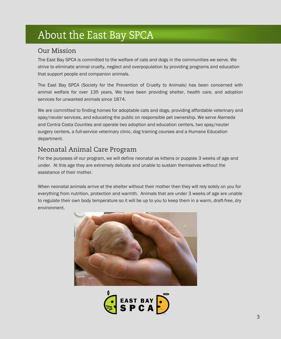### About the East Bay SPCA

#### Our Mission

The East Bay SPCA is committed to the welfare of cats and dogs in the communities we serve. We strive to eliminate animal cruelty, neglect and overpopulation by providing programs and education that support people and companion animals.

The East Bay SPCA (Society for the Prevention of Cruelty to Animals) has been concerned with animal welfare for over 135 years. We have been providing shelter, health care, and adoption services for unwanted animals since 1874.

We are committed to finding homes for adoptable cats and dogs, providing affordable veterinary and spay/neuter services, and educating the public on responsible pet ownership. We serve Alameda and Contra Costa Counties and operate two adoption and education centers, two spay/neuter surgery centers, a full-service veterinary clinic, dog training courses and a Humane Education department.

#### Neonatal Animal Care Program

For the purposes of our program, we will define neonatal as kittens or puppies 3 weeks of age and under. At this age they are extremely delicate and unable to sustain themselves without the assistance of their mother.

When neonatal animals arrive at the shelter without their mother then they will rely solely on you for everything from nutrition, protection and warmth. Animals that are under 3 weeks of age are unable to regulate their own body temperature so it will be up to you to keep them in a warm, draft-free, dry environment.



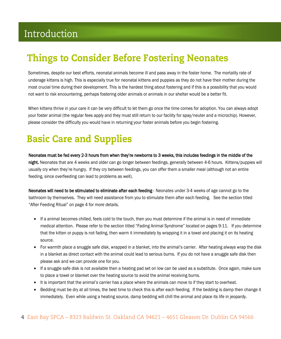### Introduction

### Things to Consider Before Fostering Neonates

Sometimes, despite our best efforts, neonatal animals become ill and pass away in the foster home. The mortality rate of underage kittens is high. This is especially true for neonatal kittens and puppies as they do not have their mother during the most crucial time during their development. This is the hardest thing about fostering and if this is a possibility that you would not want to risk encountering, perhaps fostering older animals or animals in our shelter would be a better fit.

When kittens thrive in your care it can be very difficult to let them go once the time comes for adoption. You can always adopt your foster animal (the regular fees apply and they must still return to our facility for spay/neuter and a microchip). However, please consider the difficulty you would have in returning your foster animals before you begin fostering.

### Basic Care and Supplies

Neonates must be fed every 2-3 hours from when they're newborns to 3 weeks, this includes feedings in the middle of the night. Neonates that are 4 weeks and older can go longer between feedings, generally between 4-6 hours. Kittens/puppies will usually cry when they're hungry. If they cry between feedings, you can offer them a smaller meal (although not an entire feeding, since overfeeding can lead to problems as well).

Neonates will need to be stimulated to eliminate after each feeding-Neonates under 3-4 weeks of age cannot go to the bathroom by themselves. They will need assistance from you to stimulate them after each feeding. See the section titled "After Feeding Ritual" on page 4 for more details.

- If a animal becomes chilled, feels cold to the touch, then you must determine if the animal is in need of immediate medical attention. Please refer to the section titled "Fading Animal Syndrome" located on pages 9-11. If you determine that the kitten or puppy is not fading, then warm it immediately by wrapping it in a towel and placing it on its heating source.
- For warmth place a snuggle safe disk, wrapped in a blanket, into the animal's carrier. After heating always wrap the disk in a blanket as direct contact with the animal could lead to serious burns. If you do not have a snuggle safe disk then please ask and we can provide one for you.
- If a snuggle safe disk is not available then a heating pad set on low can be used as a substitute. Once again, make sure to place a towel or blanket over the heating source to avoid the animal receiving burns.
- It is important that the animal's carrier has a place where the animals can move to if they start to overheat.
- Bedding must be dry at all times, the best time to check this is after each feeding. If the bedding is damp then change it immediately. Even while using a heating source, damp bedding will chill the animal and place its life in jeopardy.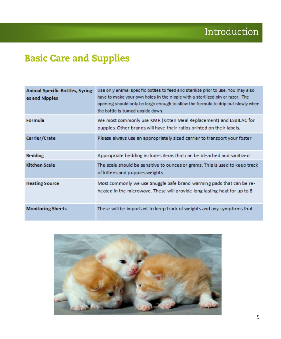### Basic Care and Supplies

| <b>Animal Specific Bottles, Syring-</b><br>es and Nipples | Use only animal specific bottles to feed and sterilize prior to use. You may also<br>have to make your own holes in the nipple with a sterilized pin or razor. The<br>opening should only be large enough to allow the formula to drip out slowly when<br>the bottle is tumed upside down. |
|-----------------------------------------------------------|--------------------------------------------------------------------------------------------------------------------------------------------------------------------------------------------------------------------------------------------------------------------------------------------|
| <b>Formula</b>                                            | We most commonly use KMR (Kitten Meal Replacement) and ESBILAC for<br>puppies. Other brands will have their ratios printed on their labels.                                                                                                                                                |
| Carrier/Crate                                             | Please always use an appropriately sized carrier to transport your foster                                                                                                                                                                                                                  |
| <b>Bedding</b>                                            | Appropriate bedding includes items that can be bleached and sanitized.                                                                                                                                                                                                                     |
| <b>Kitchen Scale</b>                                      | The scale should be sensitive to ounces or grams. This is used to keep track<br>of kittens and puppies weights.                                                                                                                                                                            |
| <b>Heating Source</b>                                     | Most commonly we use Snuggle Safe brand warming pads that can be re-<br>heated in the microwave. These will provide long lasting heat for up to 8                                                                                                                                          |
| <b>Monitoring Sheets</b>                                  | These will be important to keep track of weights and any symptoms that                                                                                                                                                                                                                     |

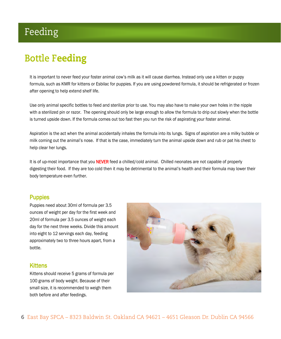### Feeding

### **Bottle F**eeding

It is important to never feed your foster animal cow's milk as it will cause diarrhea. Instead only use a kitten or puppy formula, such as KMR for kittens or Esbilac for puppies. If you are using powdered formula, it should be refrigerated or frozen after opening to help extend shelf life.

Use only animal specific bottles to feed and sterilize prior to use. You may also have to make your own holes in the nipple with a sterilized pin or razor. The opening should only be large enough to allow the formula to drip out slowly when the bottle is turned upside down. If the formula comes out too fast then you run the risk of aspirating your foster animal.

Aspiration is the act when the animal accidentally inhales the formula into its lungs. Signs of aspiration are a milky bubble or milk coming out the animal's nose. If that is the case, immediately turn the animal upside down and rub or pat his chest to help clear her lungs.

It is of up-most importance that you NEVER feed a chilled/cold animal. Chilled neonates are not capable of properly digesting their food. If they are too cold then it may be detrimental to the animal's health and their formula may lower their body temperature even further.

#### **Puppies**

Puppies need about 30ml of formula per 3.5 ounces of weight per day for the first week and 20ml of formula per 3.5 ounces of weight each day for the next three weeks. Divide this amount into eight to 12 servings each day, feeding approximately two to three hours apart, from a bottle.

#### **Kittens**

Kittens should receive 5 grams of formula per 100 grams of body weight. Because of their small size, it is recommended to weigh them both before and after feedings.

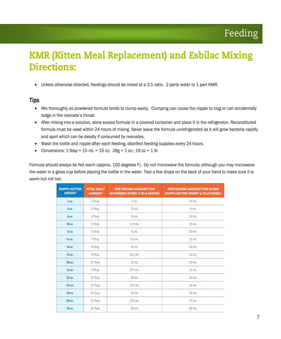### KMR (Kitten Meal Replacement) and Esbilac Mixing Directions:

• Unless otherwise directed, feedings should be mixed at a 2:1 ratio. 2 parts water to 1 part KMR.

#### Tips

- Mix thoroughly as powdered formula tends to clump easily. Clumping can cause the nipple to clog or can accidentally lodge in the neonate's throat.
- After mixing into a solution, store excess formula in a covered container and place it in the refrigerator. Reconstituted formula must be used within 24 hours of mixing. Never leave the formula unrefrigerated as it will grow bacteria rapidly and spoil which can be deadly if consumed by neonates.
- Wash the bottle and nipple after each feeding, disinfect feeding supplies every 24 hours.
- Conversions:  $1 \text{ tbsp} = 15 \text{ mL} = 15 \text{ cc}$ ;  $28g = 1 \text{ oz}$ ;  $16 \text{ oz} = 1 \text{ lb}$

Formula should always be fed warm (approx. 100 degrees F). Do not microwave the formula; although you may microwave the water in a glass cup before placing the bottle in the water. Test a few drops on the back of your hand to make sure it is warm but not hot.

| <b>PUPPY/KITTEN</b><br><b>WEIGHT</b> | <b>TOTAL DAILY</b><br><b>AMOUNT</b> | <b>PER FEEDING AMOUNT FOR</b><br><b>NEWBORN (EVERY 3 TO 4 HOURS)</b> | PER FEEDING AMOUNT FOR OLDER<br><b>PUPPY/KITTEN (EVERY 6 TO 8 HOURS)</b> |
|--------------------------------------|-------------------------------------|----------------------------------------------------------------------|--------------------------------------------------------------------------|
| 402                                  | 2 Tbsp.                             | 5 mL                                                                 | 10 mL                                                                    |
| 6 oz.                                | 3 Tbsp.                             | 75 mL                                                                | 15 mL                                                                    |
| 8 oz.                                | 4 Tbsp.                             | 10mL                                                                 | 20 mL                                                                    |
| 10 oz.                               | 5 Tbsp                              | 12.5 mL                                                              | 25 mL                                                                    |
| 12 oz                                | 6 Tbsp.                             | $15$ mL                                                              | 30 mL                                                                    |
| 14 oz.                               | 7 Tbsp.                             | 17.5 mL                                                              | $35$ mL                                                                  |
| 16 oz.                               | 8 Tbsp                              | 20 mL                                                                | 40 mL                                                                    |
| 18 oz.                               | 9 Tbsp.                             | 22.5 mL                                                              | 45 mL                                                                    |
| 20 oz.                               | 10 Tbsp.                            | 25 mL                                                                | 50 mL                                                                    |
| 22 oz.                               | 11 Tbsp.                            | 27.5 mL                                                              | 55 mL                                                                    |
| 24 02.                               | 12 Tbsp.                            | 30 mL                                                                | 60 mL                                                                    |
| 26 oz.                               | 13 Thsp.                            | 32.5 mL                                                              | 65 mL                                                                    |
| 28 oz.                               | 14 Tbsp.                            | $35$ mL                                                              | 7D mL                                                                    |
| 30 oz.                               | 15 Thsp.                            | 37.5 mL                                                              | 75 mL                                                                    |
| 32 oz.                               | 16 Tbsp.                            | 40 mL                                                                | 80 mL                                                                    |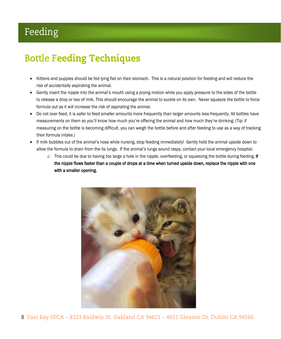### Feeding

### **Bottle F**eeding Techniques

- Kittens and puppies should be fed lying flat on their stomach. This is a natural position for feeding and will reduce the risk of accidentally aspirating the animal.
- Gently insert the nipple into the animal's mouth using a prying motion while you apply pressure to the sides of the bottle to release a drop or two of milk. This should encourage the animal to suckle on its own. Never squeeze the bottle to force formula out as it will increase the risk of aspirating the animal.
- Do not over feed, it is safer to feed smaller amounts more frequently than larger amounts less frequently. All bottles have measurements on them so you'll know how much you're offering the animal and how much they're drinking. (Tip: if measuring on the bottle is becoming difficult, you can weigh the bottle before and after feeding to use as a way of tracking their formula intake.)
- If milk bubbles out of the animal's nose while nursing, stop feeding immediately! Gently hold the animal upside down to allow the formula to drain from the its lungs. If the animal's lungs sound raspy, contact your local emergency hospital.
	- $\circ$  This could be due to having too large a hole in the nipple, overfeeding, or squeezing the bottle during feeding. If the nipple flows faster than a couple of drops at a time when turned upside down, replace the nipple with one with a smaller opening.



8 East Bay SPCA – 8323 Baldwin St. Oakland CA 94621 – 4651 Gleason Dr. Dublin CA 94566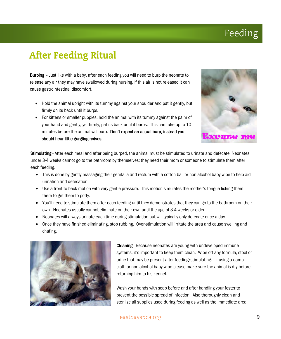### Feeding

### After Feeding Ritual

**Burping** – Just like with a baby, after each feeding you will need to burp the neonate to release any air they may have swallowed during nursing. If this air is not released it can cause gastrointestinal discomfort.

- Hold the animal upright with its tummy against your shoulder and pat it gently, but firmly on its back until it burps.
- For kittens or smaller puppies, hold the animal with its tummy against the palm of your hand and gently, yet firmly, pat its back until it burps. This can take up to 10 minutes before the animal will burp. Don't expect an actual burp, instead you should hear little gurgling noises.



Stimulating - After each meal and after being burped, the animal must be stimulated to urinate and defecate. Neonates under 3-4 weeks cannot go to the bathroom by themselves; they need their mom or someone to stimulate them after each feeding.

- This is done by gently massaging their genitalia and rectum with a cotton ball or non-alcohol baby wipe to help aid urination and defecation.
- Use a front to back motion with very gentle pressure. This motion simulates the mother's tongue licking them there to get them to potty.
- You'll need to stimulate them after each feeding until they demonstrates that they can go to the bathroom on their own. Neonates usually cannot eliminate on their own until the age of 3-4 weeks or older.
- Neonates will always urinate each time during stimulation but will typically only defecate once a day.
- Once they have finished eliminating, stop rubbing. Over-stimulation will irritate the area and cause swelling and chafing.



Cleaning - Because neonates are young with undeveloped immune systems, it's important to keep them clean. Wipe off any formula, stool or urine that may be present after feeding/stimulating. If using a damp cloth or non-alcohol baby wipe please make sure the animal is dry before returning him to his kennel.

Wash your hands with soap before and after handling your foster to prevent the possible spread of infection. Also thoroughly clean and sterilize all supplies used during feeding as well as the immediate area.

#### eastbayspca.org **9**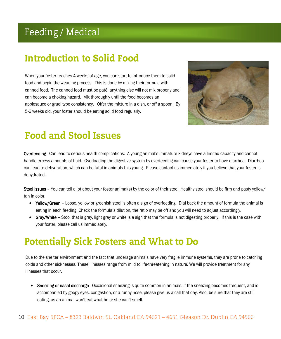### Feeding / Medical

### Introduction to Solid Food

When your foster reaches 4 weeks of age, you can start to introduce them to solid food and begin the weaning process. This is done by mixing their formula with canned food. The canned food must be paté, anything else will not mix properly and can become a choking hazard. Mix thoroughly until the food becomes an applesauce or gruel type consistency. Offer the mixture in a dish, or off a spoon. By 5-6 weeks old, your foster should be eating solid food regularly.



#### Food and Stool Issues

Overfeeding - Can lead to serious health complications. A young animal's immature kidneys have a limited capacity and cannot handle excess amounts of fluid. Overloading the digestive system by overfeeding can cause your foster to have diarrhea. Diarrhea can lead to dehydration, which can be fatal in animals this young. Please contact us immediately if you believe that your foster is dehydrated.

Stool Issues - You can tell a lot about your foster animal(s) by the color of their stool. Healthy stool should be firm and pasty yellow/ tan in color.

- Yellow/Green Loose, yellow or greenish stool is often a sign of overfeeding. Dial back the amount of formula the animal is eating in each feeding. Check the formula's dilution, the ratio may be off and you will need to adjust accordingly.
- Gray/White Stool that is gray, light gray or white is a sign that the formula is not digesting properly. If this is the case with your foster, please call us immediately.

#### Potentially Sick Fosters and What to Do

Due to the shelter environment and the fact that underage animals have very fragile immune systems, they are prone to catching colds and other sicknesses. These illnesses range from mild to life-threatening in nature. We will provide treatment for any illnesses that occur.

• Sneezing or nasal discharge - Occasional sneezing is quite common in animals. If the sneezing becomes frequent, and is accompanied by goopy eyes, congestion, or a runny nose, please give us a call that day. Also, be sure that they are still eating, as an animal won't eat what he or she can't smell.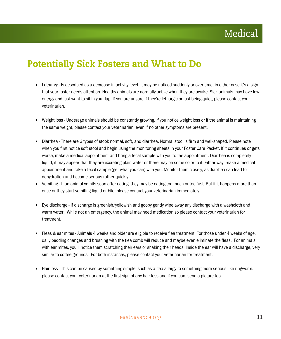### Medical

#### Potentially Sick Fosters and What to Do

- Lethargy Is described as a decrease in activity level. It may be noticed suddenly or over time, in either case it's a sign that your foster needs attention. Healthy animals are normally active when they are awake. Sick animals may have low energy and just want to sit in your lap. If you are unsure if they're lethargic or just being quiet, please contact your veterinarian.
- Weight loss Underage animals should be constantly growing. If you notice weight loss or if the animal is maintaining the same weight, please contact your veterinarian, even if no other symptoms are present.
- Diarrhea There are 3 types of stool: normal, soft, and diarrhea. Normal stool is firm and well-shaped. Please note when you first notice soft stool and begin using the monitoring sheets in your Foster Care Packet. If it continues or gets worse, make a medical appointment and bring a fecal sample with you to the appointment. Diarrhea is completely liquid, it may appear that they are excreting plain water or there may be some color to it. Either way, make a medical appointment and take a fecal sample (get what you can) with you. Monitor them closely, as diarrhea can lead to dehydration and become serious rather quickly.
- Vomiting If an animal vomits soon after eating, they may be eating too much or too fast. But if it happens more than once or they start vomiting liquid or bile, please contact your veterinarian immediately.
- Eye discharge If discharge is greenish/yellowish and goopy gently wipe away any discharge with a washcloth and warm water. While not an emergency, the animal may need medication so please contact your veterinarian for treatment.
- Fleas & ear mites Animals 4 weeks and older are eligible to receive flea treatment. For those under 4 weeks of age, daily bedding changes and brushing with the flea comb will reduce and maybe even eliminate the fleas. For animals with ear mites, you'll notice them scratching their ears or shaking their heads. Inside the ear will have a discharge, very similar to coffee grounds. For both instances, please contact your veterinarian for treatment.
- Hair loss This can be caused by something simple, such as a flea allergy to something more serious like ringworm. please contact your veterinarian at the first sign of any hair loss and if you can, send a picture too.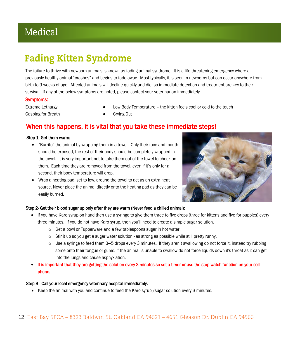### Medical

### Fading Kitten Syndrome

The failure to thrive with newborn animals is known as fading animal syndrome. It is a life threatening emergency where a previously healthy animal "crashes" and begins to fade away. Most typically, it is seen in newborns but can occur anywhere from birth to 9 weeks of age. Affected animals will decline quickly and die, so immediate detection and treatment are key to their survival. If any of the below symptoms are noted, please contact your veterinarian immediately.

#### Symptoms:

Gasping for Breath **Casping Out** 

- Extreme Lethargy Low Body Temperature the kitten feels cool or cold to the touch
	-

#### When this happens, it is vital that you take these immediate steps!

#### Step 1- Get them warm:

- "Burrito" the animal by wrapping them in a towel. Only their face and mouth should be exposed, the rest of their body should be completely wrapped in the towel. It is very important not to take them out of the towel to check on them. Each time they are removed from the towel, even if it's only for a second, their body temperature will drop.
- Wrap a heating pad, set to low, around the towel to act as an extra heat source. Never place the animal directly onto the heating pad as they can be easily burned.



#### Step 2- Get their blood sugar up only after they are warm (Never feed a chilled animal):

- If you have Karo syrup on hand then use a syringe to give them three to five drops (three for kittens and five for puppies) every three minutes. If you do not have Karo syrup, then you'll need to create a simple sugar solution.
	- o Get a bowl or Tupperware and a few tablespoons sugar in hot water.
	- o Stir it up so you get a sugar water solution as strong as possible while still pretty runny.
	- o Use a syringe to feed them 3—5 drops every 3 minutes. If they aren't swallowing do not force it, instead try rubbing some onto their tongue or gums. If the animal is unable to swallow do not force liquids down it's throat as it can get into the lungs and cause asphyxiation.
- It is important that they are getting the solution every 3 minutes so set a timer or use the stop watch function on your cell phone.

#### Step 3 - Call your local emergency veterinary hospital immediately.

• Keep the animal with you and continue to feed the Karo syrup /sugar solution every 3 minutes.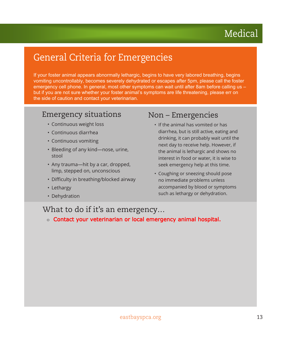### Medical

### General Criteria for Emergencies

If your foster animal appears abnormally lethargic, begins to have very labored breathing, begins vomiting uncontrollably, becomes severely dehydrated or escapes after 5pm, please call the foster emergency cell phone. In general, most other symptoms can wait until after 8am before calling us – but if you are not sure whether your foster animal's symptoms are life threatening, please err on the side of caution and contact your veterinarian.

#### Emergency situations

- Continuous weight loss
- Continuous diarrhea
- Continuous vomiting
- Bleeding of any kind—nose, urine, stool
- Any trauma—hit by a car, dropped, limp, stepped on, unconscious
- Difficulty in breathing/blocked airway
- Lethargy
- Dehydration

#### Non – Emergencies

- If the animal has vomited or has diarrhea, but is still active, eating and drinking, it can probably wait until the next day to receive help. However, if the animal is lethargic and shows no interest in food or water, it is wise to seek emergency help at this time.
- Coughing or sneezing should pose no immediate problems unless accompanied by blood or symptoms such as lethargy or dehydration.

#### What to do if it's an emergency…

o Contact your veterinarian or local emergency animal hospital.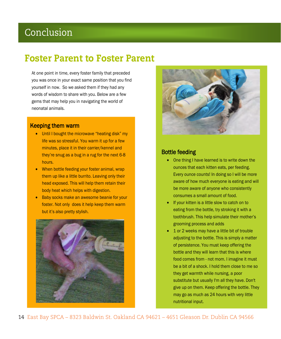#### Conclusion

#### Foster Parent to Foster Parent

At one point in time, every foster family that preceded you was once in your exact same position that you find yourself in now. So we asked them if they had any words of wisdom to share with you. Below are a few gems that may help you in navigating the world of neonatal animals.

#### Keeping them warm

- Until I bought the microwave "heating disk" my life was so stressful. You warm it up for a few minutes, place it in their carrier/kennel and they're snug as a bug in a rug for the next 6-8 hours.
- When bottle feeding your foster animal, wrap them up like a little burrito. Leaving only their head exposed. This will help them retain their body heat which helps with digestion.
- Baby socks make an awesome beanie for your foster. Not only does it help keep them warm but it's also pretty stylish.





#### Bottle feeding

- One thing I have learned is to write down the ounces that each kitten eats, per feeding. Every ounce counts! In doing so I will be more aware of how much everyone is eating and will be more aware of anyone who consistently consumes a small amount of food.
- If your kitten is a little slow to catch on to eating from the bottle, try stroking it with a toothbrush. This help simulate their mother's grooming process and adds
- 1 or 2 weeks may have a little bit of trouble adjusting to the bottle. This is simply a matter of persistence. You must keep offering the bottle and they will learn that this is where food comes from - not mom. I imagine it must be a bit of a shock. I hold them close to me so they get warmth while nursing, a poor substitute but usually I'm all they have. Don't give up on them. Keep offering the bottle. They may go as much as 24 hours with very little nutritional input.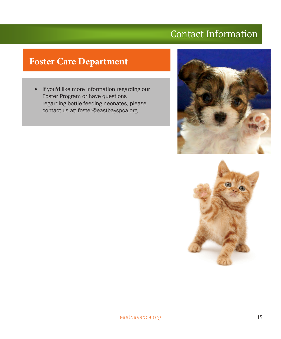### Contact Information

#### **Foster Care Department**

• If you'd like more information regarding our Foster Program or have questions regarding bottle feeding neonates, please contact us at: foster@eastbayspca.org